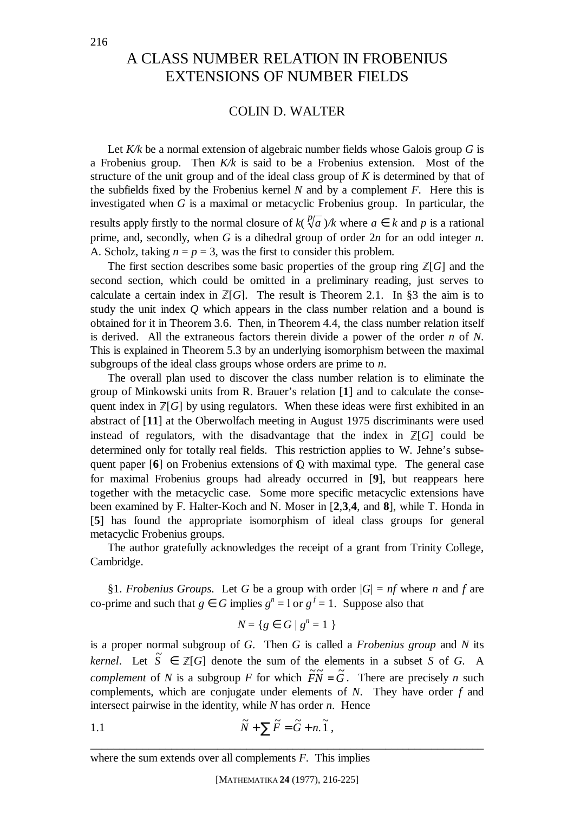## A CLASS NUMBER RELATION IN FROBENIUS EXTENSIONS OF NUMBER FIELDS

## COLIN D. WALTER

Let *K/k* be a normal extension of algebraic number fields whose Galois group *G* is a Frobenius group. Then *K/k* is said to be a Frobenius extension. Most of the structure of the unit group and of the ideal class group of *K* is determined by that of the subfields fixed by the Frobenius kernel *N* and by a complement *F*. Here this is investigated when *G* is a maximal or metacyclic Frobenius group. In particular, the results apply firstly to the normal closure of  $k(\sqrt[p]{a})/k$  where  $a \in k$  and p is a rational prime, and, secondly, when *G* is a dihedral group of order 2*n* for an odd integer *n*. A. Scholz, taking  $n = p = 3$ , was the first to consider this problem.

The first section describes some basic properties of the group ring  $\mathbb{Z}[G]$  and the second section, which could be omitted in a preliminary reading, just serves to calculate a certain index in  $\mathbb{Z}[G]$ . The result is Theorem 2.1. In §3 the aim is to study the unit index *Q* which appears in the class number relation and a bound is obtained for it in Theorem 3.6. Then, in Theorem 4.4, the class number relation itself is derived. All the extraneous factors therein divide a power of the order *n* of *N*. This is explained in Theorem 5.3 by an underlying isomorphism between the maximal subgroups of the ideal class groups whose orders are prime to *n*.

The overall plan used to discover the class number relation is to eliminate the group of Minkowski units from R. Brauer's relation [**1**] and to calculate the consequent index in  $\mathbb{Z}[G]$  by using regulators. When these ideas were first exhibited in an abstract of [**11**] at the Oberwolfach meeting in August 1975 discriminants were used instead of regulators, with the disadvantage that the index in  $\mathbb{Z}[G]$  could be determined only for totally real fields. This restriction applies to W. Jehne's subsequent paper  $[6]$  on Frobenius extensions of  $\mathbb Q$  with maximal type. The general case for maximal Frobenius groups had already occurred in [**9**], but reappears here together with the metacyclic case. Some more specific metacyclic extensions have been examined by F. Halter-Koch and N. Moser in [**2**,**3**,**4**, and **8**], while T. Honda in [**5**] has found the appropriate isomorphism of ideal class groups for general metacyclic Frobenius groups.

The author gratefully acknowledges the receipt of a grant from Trinity College, Cambridge.

§1. *Frobenius Groups*. Let *G* be a group with order  $|G| = nf$  where *n* and *f* are co-prime and such that  $g \in G$  implies  $g^n = 1$  or  $g^f = 1$ . Suppose also that

$$
N = \{ g \in G \mid g^n = 1 \}
$$

is a proper normal subgroup of *G*. Then *G* is called a *Frobenius group* and *N* its *kernel*. Let  $\tilde{S} \in \mathbb{Z}[G]$  denote the sum of the elements in a subset *S* of *G*. A *complement* of *N* is a subgroup *F* for which  $\widetilde{F}N = \widetilde{G}$ . There are precisely *n* such complements, which are conjugate under elements of *N*. They have order *f* and intersect pairwise in the identity, while *N* has order *n*. Hence

1.1 
$$
\widetilde{N} + \sum \widetilde{F} = \widetilde{G} + n \widetilde{.1} ,
$$

where the sum extends over all complements *F*.This implies

\_\_\_\_\_\_\_\_\_\_\_\_\_\_\_\_\_\_\_\_\_\_\_\_\_\_\_\_\_\_\_\_\_\_\_\_\_\_\_\_\_\_\_\_\_\_\_\_\_\_\_\_\_\_\_\_\_\_\_\_\_\_\_\_\_\_\_\_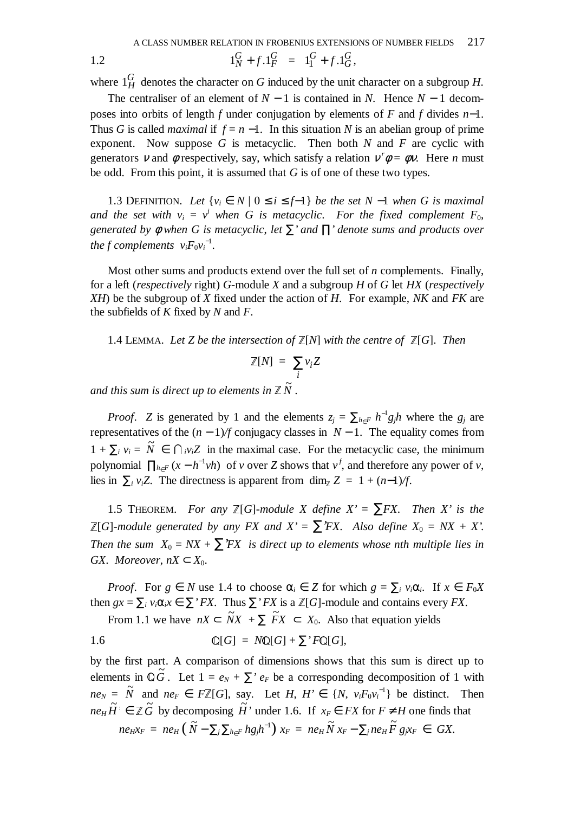1.2 
$$
1_N^G + f \cdot 1_F^G = 1_1^G + f \cdot 1_G^G,
$$

where  $1_H^G$  denotes the character on *G* induced by the unit character on a subgroup *H*.

The centraliser of an element of  $N - 1$  is contained in  $N$ . Hence  $N - 1$  decomposes into orbits of length *f* under conjugation by elements of *F* and *f* divides *n*−1. Thus *G* is called *maximal* if  $f = n - 1$ . In this situation *N* is an abelian group of prime exponent. Now suppose *G* is metacyclic. Then both *N* and *F* are cyclic with generators v and  $\phi$  respectively, say, which satisfy a relation  $v^r \phi = \phi v$ . Here *n* must be odd. From this point, it is assumed that *G* is of one of these two types.

1.3 DEFINITION. Let  ${v_i \in N \mid 0 \le i \le f-1}$  *be the set N* −1 *when G is maximal and the set with*  $v_i = v^i$  when G is metacyclic. For the fixed complement  $F_0$ , *generated by* φ *when G is metacyclic*, *let* ∑*' and* ∏*' denote sums and products over the f complements*  $v_i F_0 v_i^{-1}$ .

Most other sums and products extend over the full set of *n* complements. Finally, for a left (*respectively* right) *G*-module *X* and a subgroup *H* of *G* let *HX* (*respectively XH*) be the subgroup of *X* fixed under the action of *H*.For example, *NK* and *FK* are the subfields of *K* fixed by *N* and *F*.

1.4 LEMMA. Let Z be the intersection of  $\mathbb{Z}[N]$  with the centre of  $\mathbb{Z}[G]$ . Then

$$
\mathbb{Z}[N] = \sum_{i} v_i Z
$$

and this sum is direct up to elements in Z  $\tilde{N}$  .

*Proof. Z* is generated by 1 and the elements  $z_j = \sum_{h \in F} h^{-1} g_j h$  where the  $g_j$  are representatives of the (*n* − 1)*/f* conjugacy classes in *N* − 1. The equality comes from  $1 + \sum_i v_i = \tilde{N} \in \bigcap_i v_i Z$  in the maximal case. For the metacyclic case, the minimum polynomial  $\prod_{h \in F} (x - h^{-1}vh)$  of *v* over *Z* shows that  $v^f$ , and therefore any power of *v*, lies in  $\sum_i v_i Z$ . The directness is apparent from dim<sub> $\bar{z}$ </sub> z = 1 + (*n*−1)/*f*.

1.5 THEOREM. *For any*  $\mathbb{Z}[G]$ -module X define  $X' = \sum FX$ . Then X' is the ¦[*G*]*-module generated by any FX and X'* = ∑*'FX*. *Also define X*0 = *NX* + *X'*. *Then the sum*  $X_0 = N X + \sum Y Y X$  *is direct up to elements whose nth multiple lies in GX. Moreover,*  $nX \subset X_0$ .

*Proof.* For  $g \in N$  use 1.4 to choose  $\alpha_i \in Z$  for which  $g = \sum_i v_i \alpha_i$ . If  $x \in F_0 X$ then  $gx = \sum_i v_i \alpha_i x \in \sum' FX$ . Thus  $\sum' FX$  is a  $\mathbb{Z}[G]$ -module and contains every *FX*.

From 1.1 we have  $nX \subset \widetilde{N}X + \sum \widetilde{F}X \subset X_0$ . Also that equation yields

1.6 
$$
\mathbb{Q}[G] = N\mathbb{Q}[G] + \sum' F\mathbb{Q}[G],
$$

by the first part. A comparison of dimensions shows that this sum is direct up to elements in  $\mathbb{Q}\tilde{G}$ . Let  $1 = e_N + \sum' e_F$  be a corresponding decomposition of 1 with  $ne_N = \tilde{N}$  and  $ne_F \in F\mathbb{Z}[G]$ , say. Let *H*,  $H' \in \{N, v_iF_0v_i^{-1}\}$  be distinct. Then  $ne_H H' \in \mathbb{Z}$   $\widetilde{G}$  by decomposing  $\widetilde{H}$  under 1.6. If  $x_F \in FX$  for  $F \neq H$  one finds that  $ne_{H}x_{F} = ne_{H}(\tilde{N} - \sum_{j} \sum_{h \in F} hg_{j}h^{-1}) x_{F} = ne_{H} \tilde{N} x_{F} - \sum_{j} ne_{H} \tilde{F} g_{j}x_{F} \in GX.$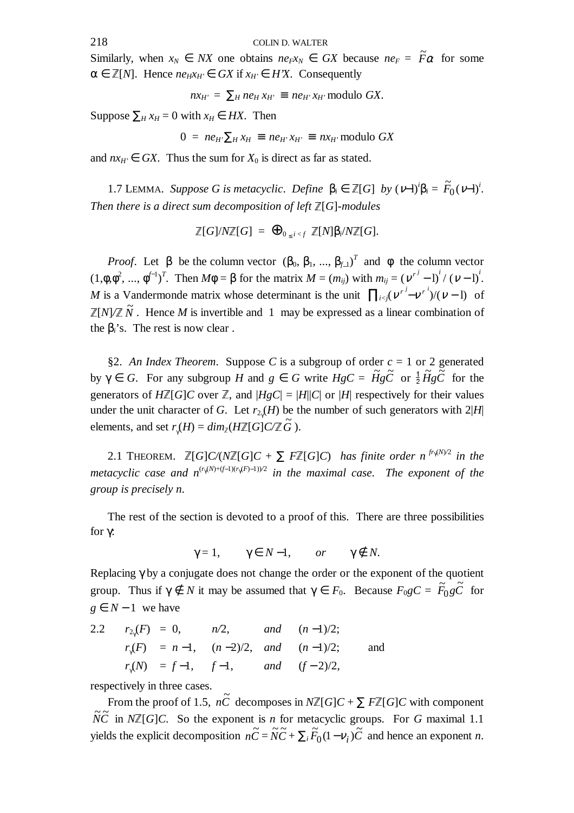Similarly, when  $x_N \in N X$  one obtains  $n e_F x_N \in GX$  because  $n e_F = \tilde{F} \alpha$  for some  $\alpha \in \mathbb{Z}[N]$ . Hence  $ne_H x_H \in GX$  if  $x_H \in H'X$ . Consequently

$$
nx_{H'} = \sum_{H} n e_{H} x_{H'} \equiv n e_{H'} x_{H'} \text{ modulo } GX.
$$

Suppose  $\sum_{H} x_{H} = 0$  with  $x_{H} \in HX$ . Then

$$
0 = ne_{H'}\sum_{H} x_{H} \equiv ne_{H'}x_{H'} \equiv nx_{H'} \text{ modulo } GX
$$

and  $nx_H \in GX$ . Thus the sum for  $X_0$  is direct as far as stated.

1.7 LEMMA. *Suppose G is metacyclic. Define*  $β<sub>i</sub> ∈ ℤ[G]$  *by*  $(ν-1)<sup>i</sup>β<sub>i</sub> = F<sub>0</sub>(ν-1)<sup>i</sup>$ . *Then there is a direct sum decomposition of left*  $\mathbb{Z}[G]$ *-modules* 

$$
\mathbb{Z}[G]/N\mathbb{Z}[G] = \bigoplus_{0 \leq i < f} \mathbb{Z}[N]\beta_i/N\mathbb{Z}[G].
$$

*Proof.* Let  $\beta$  be the column vector  $(\beta_0, \beta_1, ..., \beta_{f\perp})^T$  and  $\phi$  the column vector  $(1, \phi, \phi^2, ..., \phi^{f-1})^T$ . Then  $M\phi = \beta$  for the matrix  $M = (m_{ij})$  with  $m_{ij} = (v^{r^j} - 1)^i / (v - 1)^i$ . *M* is a Vandermonde matrix whose determinant is the unit  $\prod_{i < j} (\nu^{r^j} - \nu^{r^i})/(\nu - 1)$  of  $\mathbb{Z}[N]/\mathbb{Z} \widetilde{N}$ . Hence *M* is invertible and 1 may be expressed as a linear combination of the  $\beta$ <sup>'</sup><sub>i</sub>'s. The rest is now clear.

§2. An Index Theorem. Suppose C is a subgroup of order  $c = 1$  or 2 generated by  $\gamma \in G$ . For any subgroup *H* and  $g \in G$  write  $HgC = \tilde{H}g\tilde{C}$  or  $\frac{1}{2}\tilde{H}g\tilde{C}$  for the generators of  $H\mathbb{Z}[G]C$  over  $\mathbb{Z}$ , and  $|HgC| = |H||C|$  or  $|H|$  respectively for their values under the unit character of *G*. Let  $r_{2}(H)$  be the number of such generators with  $2|H|$ elements, and set  $r_{\gamma}(H) = dim_{\mathbb{Z}}(H\mathbb{Z}[G]C/\mathbb{Z} \tilde{G})$ .

2.1 THEOREM.  $\mathbb{Z}[G]C/(N\mathbb{Z}[G]C + \sum F\mathbb{Z}[G]C)$  *has finite order n*<sup>*fr<sub>{</sub>M}*2</sup> *in the metacyclic case and n*<sup>(*r*γM)+(*f*−1)(*r*γ $(F)$ -1))<sup>2</sup> in the maximal case. The exponent of the</sup> *group is precisely n*.

The rest of the section is devoted to a proof of this. There are three possibilities for γ:

 $\gamma = 1$ ,  $\gamma \in N-1$ , *or*  $\gamma \notin N$ .

Replacing  $\gamma$  by a conjugate does not change the order or the exponent of the quotient group. Thus if  $\gamma \notin N$  it may be assumed that  $\gamma \in F_0$ . Because  $F_0 g C = \tilde{F}_0 g \tilde{C}$  $\int_0^\cdot g C$  for *g* ∈ *N* − 1 we have

2.2 
$$
r_{2\gamma}(F) = 0
$$
,  $n/2$ , and  $(n-1)/2$ ;  
\n $r_{\gamma}(F) = n-1$ ,  $(n-2)/2$ , and  $(n-1)/2$ ;  
\n $r_{\gamma}(N) = f-1$ ,  $f-1$ , and  $(f-2)/2$ ,

respectively in three cases.

From the proof of 1.5,  $n\tilde{C}$  decomposes in  $N\mathbb{Z}[G]C + \sum F\mathbb{Z}[G]C$  with component  $\widetilde{NC}$  in  $N\mathbb{Z}[G]C$ . So the exponent is *n* for metacyclic groups. For *G* maximal 1.1 yields the explicit decomposition  $n\tilde{C} = \tilde{N}\tilde{C} + \sum_{i} \tilde{F}_0(1 - v_i)\tilde{C}$  and hence an exponent *n*.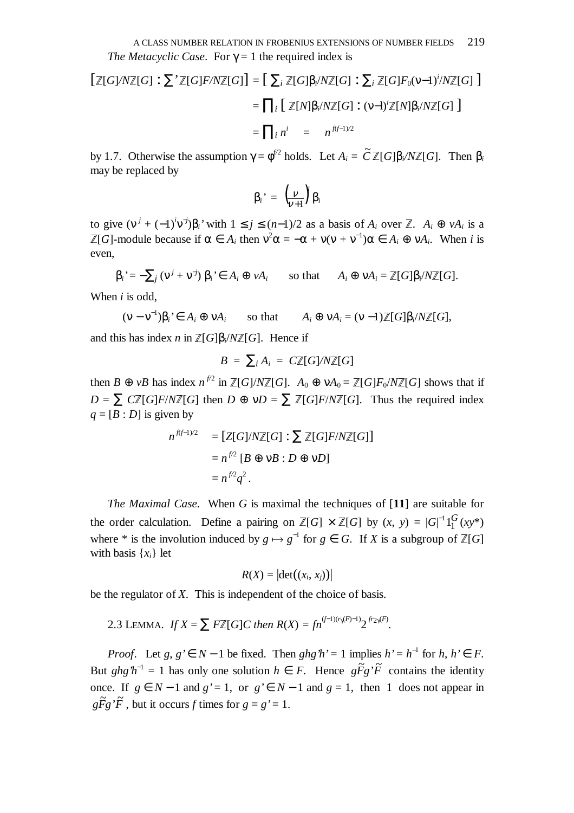$$
\begin{aligned}\n\left[\mathbb{Z}[G]/N\mathbb{Z}[G]: \sum \mathbb{Z}[G]F/N\mathbb{Z}[G]\right] &= \left[\sum_{i} \mathbb{Z}[G]\beta_{i}/N\mathbb{Z}[G]: \sum_{i} \mathbb{Z}[G]F_{0}(\nu-1)^{i}/N\mathbb{Z}[G]\right] \\
&= \prod_{i} \left[\mathbb{Z}[N]\beta_{i}/N\mathbb{Z}[G]: (\nu-1)^{i}\mathbb{Z}[N]\beta_{i}/N\mathbb{Z}[G]\right] \\
&= \prod_{i} n^{i} = n^{f(f-1)/2}\n\end{aligned}
$$

by 1.7. Otherwise the assumption  $\gamma = \phi^{i/2}$  holds. Let  $A_i = \tilde{C} \mathbb{Z}[G]\beta_i/N\mathbb{Z}[G]$ . Then  $\beta_i$ may be replaced by

$$
\beta_i' = \left(\frac{v}{v+1}\right) \beta_i
$$

to give  $(v^j + (-1)^i v^{-j})\beta_i$ ' with  $1 \le j \le (n-1)/2$  as a basis of  $A_i$  over  $\mathbb{Z}$ .  $A_i \oplus vA_i$  is a  $\mathbb{Z}[G]$ -module because if  $\alpha \in A_i$  then  $v^2 \alpha = -\alpha + v(v + v^{-1})\alpha \in A_i \oplus vA_i$ . When *i* is even,

$$
\beta_i = -\sum_j (v^j + v^{-j}) \beta_i \in A_i \oplus vA_i \quad \text{so that} \quad A_i \oplus vA_i = \mathbb{Z}[G]\beta_i / N\mathbb{Z}[G].
$$

When *i* is odd,

 $(v - v^{-1})$  $A_i \oplus \nu A_i = (\nu - 1)\mathbb{Z}[G]\beta_i/N\mathbb{Z}[G],$ 

and this has index *n* in  $\mathbb{Z}[G]\beta_i/N\mathbb{Z}[G]$ . Hence if

$$
B = \sum_i A_i = C \mathbb{Z}[G]/N \mathbb{Z}[G]
$$

then  $B \oplus \nu B$  has index  $n^{f/2}$  in  $\mathbb{Z}[G]/N\mathbb{Z}[G]$ .  $A_0 \oplus \nu A_0 = \mathbb{Z}[G]F_0/N\mathbb{Z}[G]$  shows that if  $D = \sum CZ[G]F/NZ[G]$  then  $D \oplus \nu D = \sum Z[G]F/NZ[G]$ . Thus the required index  $q = [B : D]$  is given by

$$
n^{f(f-1)/2} = [Z[G]/N\mathbb{Z}[G] : \sum \mathbb{Z}[G]F/N\mathbb{Z}[G]]
$$

$$
= n^{f/2} [B \oplus \nu B : D \oplus \nu D]
$$

$$
= n^{f/2}q^2.
$$

*The Maximal Case*.When *G* is maximal the techniques of [**11**] are suitable for the order calculation. Define a pairing on  $\mathbb{Z}[G] \times \mathbb{Z}[G]$  by  $(x, y) = |G|^{-1}1_1^G$  $1_1^{\mathbf{C}}(xy^*)$ where \* is the involution induced by  $g \mapsto g^{-1}$  for  $g \in G$ . If *X* is a subgroup of  $\mathbb{Z}[G]$ with basis  $\{x_i\}$  let

$$
R(X) = |\det((x_i, x_j))|
$$

be the regulator of *X*. This is independent of the choice of basis.

2.3 LEMMA. If 
$$
X = \sum F\mathbb{Z}[G]C
$$
 then  $R(X) = fn^{(f-1)(r1(F)-1)}2^{fr_2}(F)}$ .

*Proof.* Let *g*,  $g' \in N - 1$  be fixed. Then  $ghg'h' = 1$  implies  $h' = h^{-1}$  for  $h, h' \in F$ . But  $ghg'h^{-1} = 1$  has only one solution  $h \in F$ . Hence  $g\tilde{F}g'\tilde{F}$  contains the identity once. If  $g \in N-1$  and  $g' = 1$ , or  $g' \in N-1$  and  $g = 1$ , then 1 does not appear in  $g\tilde{F}g'\tilde{F}$ , but it occurs *f* times for  $g = g' = 1$ .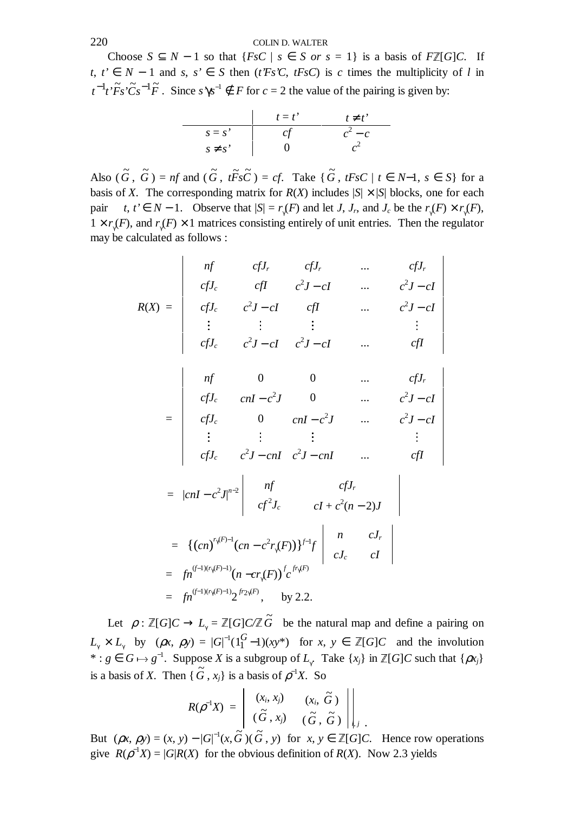Choose  $S \subseteq N - 1$  so that  $\{FsC \mid s \in S \text{ or } s = 1\}$  is a basis of  $F\mathbb{Z}[G]C$ . If *t*,  $t' \in N - 1$  and *s*,  $s' \in S$  then (*t'Fs'C*, *tFsC*) is *c* times the multiplicity of *l* in  $t^{-1}t^*\tilde{F}s\tilde{C}s^{-1}\tilde{F}$ . Since  $s\gamma s^{-1} \notin F$  for  $c = 2$  the value of the pairing is given by:

$$
\begin{array}{c|cc}\n & t = t' & t \neq t' \\
\hline\ns = s' & cf & c^2 - c \\
s \neq s' & 0 & c^2\n\end{array}
$$

Also  $(\tilde{G}, \tilde{G}) = nf$  and  $(\tilde{G}, t\tilde{F} s\tilde{C}) = cf$ . Take  $\{\tilde{G}, tFsC \mid t \in N-1, s \in S\}$  for a basis of *X*. The corresponding matrix for  $R(X)$  includes  $|S| \times |S|$  blocks, one for each pair  $t, t \in N - 1$ . Observe that  $|S| = r_{\gamma}(F)$  and let *J*, *J<sub>r</sub>*, and *J<sub>c</sub>* be the  $r_{\gamma}(F) \times r_{\gamma}(F)$ ,  $1 \times r_{\gamma}(F)$ , and  $r_{\gamma}(F) \times 1$  matrices consisting entirely of unit entries. Then the regulator may be calculated as follows :

$$
R(X) = \begin{vmatrix} nf & cfJ_r & cfJ_r & \dots & cfJ_r \\ cfJ_c & cfI & c^2J - cI & \dots & c^2J - cI \\ cfJ_c & c^2J - cI & cfI & \dots & c^2J - cI \\ \vdots & \vdots & \vdots & \vdots & \vdots \\ cfJ_c & c^2J - cI & c^2J - cI & \dots & cfI \end{vmatrix}
$$

$$
= \begin{vmatrix}\nnf & 0 & 0 & \dots & cfJ_r \\
cfJ_c & cnI - c^2J & 0 & \dots & c^2J - cI \\
cfJ_c & 0 & cnI - c^2J & \dots & c^2J - cI \\
\vdots & \vdots & \vdots & & \vdots \\
cfJ_c & c^2J - cnI & c^2J - cnI & \dots & cfI\n\end{vmatrix}
$$

$$
= |cnI - c^2 J|^{n-2} \left| \begin{array}{cc} nf & cfJ_r \\ cf^2 J_c & cI + c^2 (n-2)J \end{array} \right|
$$
  
\n
$$
= \left\{ (cn)^{r_{\gamma}(F)-1} (cn - c^2 r_{\gamma}(F)) \right\}^{f-1} f \left| \begin{array}{cc} n & cJ_r \\ cJ_c & cI \end{array} \right|
$$
  
\n
$$
= fn^{(f-1)(r_{\gamma}(F)-1)} (n - cr_{\gamma}(F))^f c^{fr_{\gamma}(F)}
$$
  
\n
$$
= fn^{(f-1)(r_{\gamma}(F)-1)} 2^{f r_2 \gamma(F)}, \text{ by 2.2.}
$$

Let  $\rho : \mathbb{Z}[G]C \to L_{\gamma} = \mathbb{Z}[G]C/\mathbb{Z} \tilde{G}$  be the natural map and define a pairing on  $L_{\gamma} \times L_{\gamma}$  by  $(\rho x, \rho y) = |G|^{-1} (1_1^G)$  $1_1^{\mathbf{C}} - 1(x_1^*)$  for  $x, y \in \mathbb{Z}[G]C$  and the involution \* : *g* ∈ *G*  $\mapsto$  *g*<sup>-1</sup>. Suppose *X* is a subgroup of *L*<sub>γ</sub>. Take {*x<sub>j</sub>*} in  $\mathbb{Z}[G]C$  such that { $\rho x_j$ } is a basis of *X*. Then  $\{\tilde{G}, x_j\}$  is a basis of  $\rho^{-1}X$ . So

$$
R(\rho^{-1}X) = \begin{vmatrix} (x_i, x_j) & (x_i, \widetilde{G}) \\ (\widetilde{G}, x_j) & (\widetilde{G}, \widetilde{G}) \end{vmatrix} ,
$$

But  $(\rho x, \rho y) = (x, y) - |G|^{-1}(x, \tilde{G})(\tilde{G}, y)$  for  $x, y \in \mathbb{Z}[G]C$ . Hence row operations give  $R(\rho^{-1}X) = |G|R(X)$  for the obvious definition of  $R(X)$ . Now 2.3 yields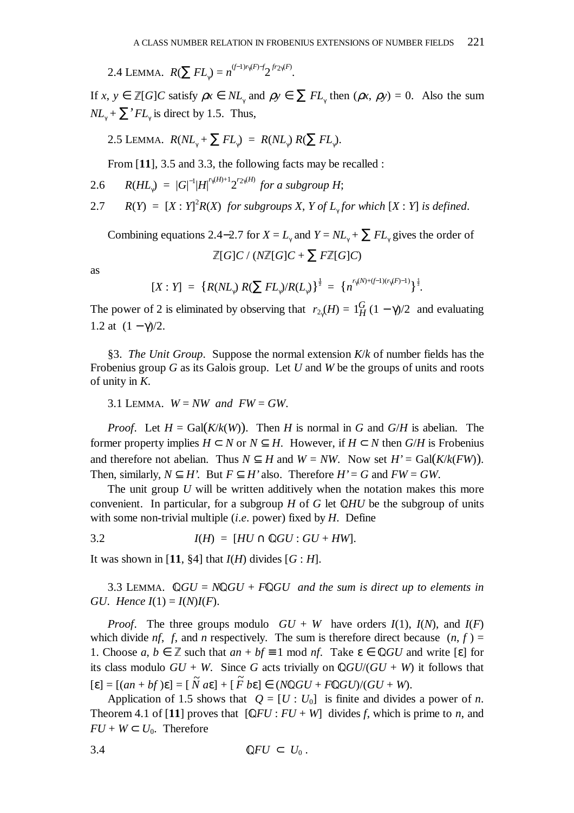2.4 LEMMA.  $R(\sum FL_{\gamma}) = n^{(f-1)r_{\gamma}(F)-f}2^{fr_{2\gamma}(F)}.$ 

If  $x, y \in \mathbb{Z}[G]C$  satisfy  $\rho x \in NL_\gamma$  and  $\rho y \in \sum FL_\gamma$  then  $(\rho x, \rho y) = 0$ . Also the sum  $NL_{\gamma} + \sum' FL_{\gamma}$  is direct by 1.5. Thus,

2.5 LEMMA.  $R(NL_{\gamma} + \sum FL_{\gamma}) = R(NL_{\gamma}) R(\sum FL_{\gamma})$ .

From [**11**], 3.5 and 3.3, the following facts may be recalled :

2.6 
$$
R(HL_{\gamma}) = |G|^{-1} |H|^{r_{\gamma}(H)+1} 2^{r_{2}\gamma(H)}
$$
 for a subgroup H;

2.7 
$$
R(Y) = [X : Y]^2 R(X)
$$
 for subgroups X, Y of  $L_{\gamma}$  for which  $[X : Y]$  is defined.

Combining equations 2.4–2.7 for  $X = L_{\gamma}$  and  $Y = NL_{\gamma} + \sum FL_{\gamma}$  gives the order of  $\mathbb{Z}[G]C$  / ( $N\mathbb{Z}[G]C + \sum F\mathbb{Z}[G]C$ )

as

$$
[X:Y] = \{R(NL_{\gamma}) R(\sum FL_{\gamma})/R(L_{\gamma})\}^{\frac{1}{2}} = \{n^{r_{\gamma}(N)+(f-1)(r_{\gamma}(F)-1)}\}^{\frac{1}{2}}.
$$

The power of 2 is eliminated by observing that  $r_{2y}(H) = 1_H^G(1 - \gamma)/2$  and evaluating 1.2 at  $(1 - \gamma)/2$ .

§3. *The Unit Group*. Suppose the normal extension *K*/*k* of number fields has the Frobenius group *G* as its Galois group. Let *U* and *W* be the groups of units and roots of unity in *K*.

3.1 LEMMA.  $W = NW$  and  $FW = GW$ .

*Proof.* Let  $H = \text{Gal}(K/k(W))$ . Then *H* is normal in *G* and *G*/*H* is abelian. The former property implies  $H \subset N$  or  $N \subset H$ . However, if  $H \subset N$  then  $G/H$  is Frobenius and therefore not abelian. Thus  $N \subseteq H$  and  $W = NW$ . Now set  $H' = \text{Gal}(K/k(FW))$ . Then, similarly,  $N \subseteq H'$ . But  $F \subseteq H'$  also. Therefore  $H' = G$  and  $FW = GW$ .

The unit group *U* will be written additively when the notation makes this more convenient. In particular, for a subgroup  $H$  of  $G$  let  $\mathbb{Q}HU$  be the subgroup of units with some non-trivial multiple (*i*.*e*. power) fixed by *H*. Define

3.2  $I(H) = [HU \cap \mathbb{Q}GU : GU + HW].$ 

It was shown in [11, §4] that  $I(H)$  divides  $[G : H]$ .

3.3 LEMMA.  $\mathbb{Q}GU = N\mathbb{Q}GU + F\mathbb{Q}GU$  and the sum is direct up to elements in *GU. Hence*  $I(1) = I(N)I(F)$ .

*Proof.* The three groups modulo  $GU + W$  have orders  $I(1)$ ,  $I(N)$ , and  $I(F)$ which divide *nf*, *f*, and *n* respectively. The sum is therefore direct because  $(n, f)$  = 1. Choose  $a, b \in \mathbb{Z}$  such that  $an + bf \equiv 1 \mod nf$ . Take  $\varepsilon \in \mathbb{Q}GU$  and write  $[\varepsilon]$  for its class modulo  $GU + W$ . Since G acts trivially on  $\mathbb{Q}GU/(GU + W)$  it follows that  $[\mathbf{\varepsilon}] = [(an + bf)\mathbf{\varepsilon}] = [\tilde{N} \, a\mathbf{\varepsilon}] + [\tilde{F} \, b\mathbf{\varepsilon}] \in (N\mathbb{Q}GU + F\mathbb{Q}GU)/(GU + W).$ 

Application of 1.5 shows that  $Q = [U : U_0]$  is finite and divides a power of *n*. Theorem 4.1 of [11] proves that  $[QFU : FU + W]$  divides *f*, which is prime to *n*, and  $FU + W \subset U_0$ . Therefore

$$
\mathbb{Q}FU\subset U_0\,.
$$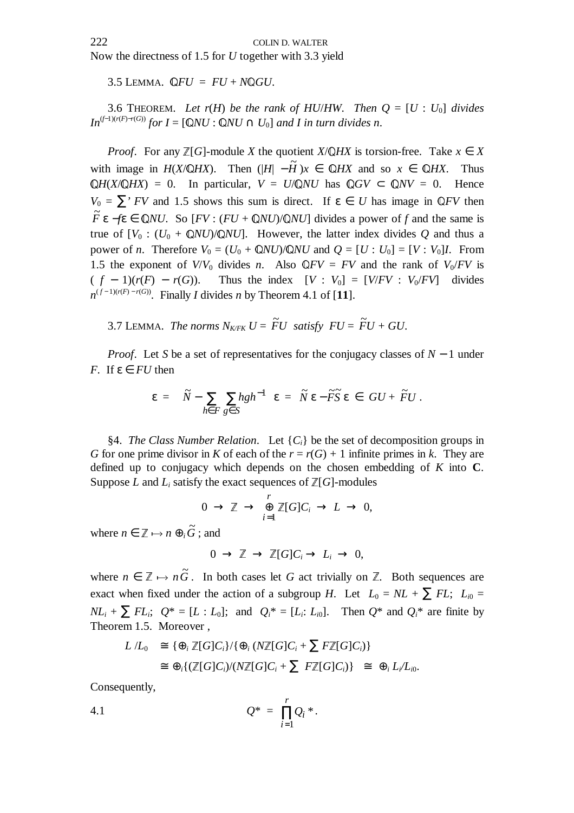Now the directness of 1.5 for *U* together with 3.3 yield

3.5 LEMMA.  $\mathbb{Q}FU = FU + N\mathbb{Q}GU$ .

3.6 THEOREM. Let  $r(H)$  be the rank of HU/*HW*. Then  $Q = [U : U_0]$  divides *In*<sup> $(f-1)(r(F)-r(G))$ </sup> *for I* = [Q*NU* : Q*NU* ∩ *U*<sub>0</sub>] *and I in turn divides n*.

*Proof.* For any  $\mathbb{Z}[G]$ -module *X* the quotient *X*/ $\mathbb{Q}HX$  is torsion-free. Take  $x \in X$ with image in *H*(*X*/ $\mathbb{Q}$ *HX*). Then  $(|H| - \tilde{H})x \in \mathbb{Q}$ *HX* and so  $x \in \mathbb{Q}$ *HX*. Thus  $\mathbb{Q}H(X/\mathbb{Q}HX) = 0$ . In particular,  $V = U/\mathbb{Q}NU$  has  $\mathbb{Q}GV \subset \mathbb{Q}NV = 0$ . Hence  $V_0 = \sum' FV$  and 1.5 shows this sum is direct. If  $\varepsilon \in U$  has image in QFV then  $\tilde{F}$  **ε** −*f*ε ∈ Q*NU*. So [*FV* : (*FU* + Q*NU*)/Q*NU*] divides a power of *f* and the same is true of  $[V_0 : (U_0 + \mathbb{Q}NU)/\mathbb{Q}NU]$ . However, the latter index divides Q and thus a power of *n*. Therefore  $V_0 = (U_0 + QNU)/QNU$  and  $Q = [U : U_0] = [V : V_0]I$ . From 1.5 the exponent of *V*/*V*<sub>0</sub> divides *n*. Also  $\mathbb{Q}FV = FV$  and the rank of *V*<sub>0</sub>/*FV* is ( $f - 1$ )( $r(F) - r(G)$ ). Thus the index  $[V : V_0] = [V/FV : V_0/FV]$  divides Thus the index  $[V : V_0] = [V/FV : V_0/FV]$  divides  $n^{(f-1)(r(F)-r(G))}$ . Finally *I* divides *n* by Theorem 4.1 of [11].

3.7 LEMMA. *The norms*  $N_{K/FK} U = \widetilde{F}U$  satisfy  $FU = \widetilde{F}U + GU$ .

*Proof.* Let *S* be a set of representatives for the conjugacy classes of *N* − 1 under *F*. If  $\varepsilon \in FU$  then

$$
\varepsilon = \left( \widetilde{N} - \sum_{h \in F} \sum_{g \in S} hgh^{-1} \right) \varepsilon = \widetilde{N} \varepsilon - \widetilde{F} \widetilde{S} \varepsilon \in GU + \widetilde{F}U.
$$

§4. *The Class Number Relation.* Let  $\{C_i\}$  be the set of decomposition groups in *G* for one prime divisor in *K* of each of the  $r = r(G) + 1$  infinite primes in *k*. They are defined up to conjugacy which depends on the chosen embedding of *K* into **C**. Suppose *L* and  $L_i$  satisfy the exact sequences of  $\mathbb{Z}[G]$ -modules

$$
0 \to \mathbb{Z} \to \bigoplus_{i=1}^r \mathbb{Z}[G]C_i \to L \to 0,
$$

where  $n \in \mathbb{Z} \mapsto n \oplus_i \widetilde{G}$ ; and

$$
0 \to \mathbb{Z} \to \mathbb{Z}[G]C_i \to L_i \to 0,
$$

where  $n \in \mathbb{Z} \mapsto n\tilde{G}$ . In both cases let *G* act trivially on  $\mathbb{Z}$ . Both sequences are exact when fixed under the action of a subgroup *H*. Let  $L_0 = NL + \sum FL$ ;  $L_{i0} =$  $NL_i + \sum F_{i}$ ;  $Q^* = [L : L_0]$ ; and  $Q_i^* = [L_i : L_0]$ . Then  $Q^*$  and  $Q_i^*$  are finite by Theorem 1.5. Moreover ,

$$
L/L_0 \cong \{ \oplus_i \mathbb{Z}[G]C_i \} / \{ \oplus_i (N\mathbb{Z}[G]C_i + \sum F\mathbb{Z}[G]C_i) \}
$$
  

$$
\cong \oplus_i \{ (\mathbb{Z}[G]C_i) / (N\mathbb{Z}[G]C_i + \sum F\mathbb{Z}[G]C_i) \} \cong \oplus_i L_i/L_{i0}.
$$

Consequently,

4.1 
$$
Q^* = \prod_{i=1}^r Q_i^*.
$$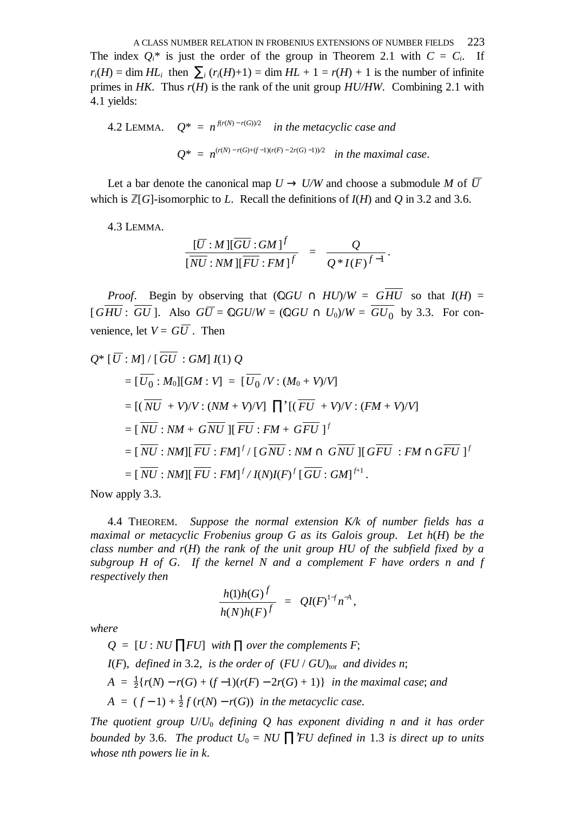A CLASS NUMBER RELATION IN FROBENIUS EXTENSIONS OF NUMBER FIELDS 223 The index  $Q_i^*$  is just the order of the group in Theorem 2.1 with  $C = C_i$ . If  $r_i(H) = \dim H L_i$  then  $\sum_i (r_i(H)+1) = \dim H L + 1 = r(H) + 1$  is the number of infinite primes in *HK*. Thus *r*(*H*) is the rank of the unit group *HU/HW*.Combining 2.1 with 4.1 yields:

4.2 LEMMA. 
$$
Q^* = n^{f(r(N) - r(G))/2}
$$
 in the metacyclic case and  
 $Q^* = n^{(r(N) - r(G) + (f-1)(r(F) - 2r(G) - 1))/2}$  in the maximal case.

Let a bar denote the canonical map  $U \rightarrow U/W$  and choose a submodule M of  $\overline{U}$ which is  $\mathbb{Z}[G]$ -isomorphic to *L*. Recall the definitions of  $I(H)$  and *Q* in 3.2 and 3.6.

4.3 LEMMA.

$$
\frac{[\overline{U}:M][\overline{GU}:GM]^f}{[\overline{NU}:NM][\overline{FU}:FM]^f} = \frac{Q}{Q^*I(F)^{f-1}}.
$$

*Proof.* Begin by observing that  $(\mathbb{Q}GU \cap HU)/W = \overline{GHU}$  so that  $I(H) =$  $[GHU: GU]$ . Also  $GU = \mathbb{Q}GU/W = (\mathbb{Q}GU \cap U_0)/W = GU_0$  by 3.3. For convenience, let  $V = G\overline{U}$ . Then

$$
Q^* [\overline{U} : M] / [\overline{GU} : GM] I(1) Q
$$
  
\n
$$
= [\overline{U_0} : M_0][GM : V] = [\overline{U_0} / V : (M_0 + V)/V]
$$
  
\n
$$
= [(\overline{NU} + V)/V : (NM + V)/V] \prod^* [(\overline{FU} + V)/V : (FM + V)/V]
$$
  
\n
$$
= [\overline{NU} : NM + \overline{GNU}][\overline{FU} : FM + \overline{GPU}]^f
$$
  
\n
$$
= [\overline{NU} : NM][\overline{FU} : FM]^f / [\overline{GNU} : NM \cap \overline{GNU}][\overline{GFU} : FM \cap \overline{GPU}]^f
$$
  
\n
$$
= [\overline{NU} : NM][\overline{FU} : FM]^f / I(N)I(F)^f [\overline{GU} : GM]^{f+1}.
$$

Now apply 3.3.

4.4 THEOREM. *Suppose the normal extension K/k of number fields has a maximal or metacyclic Frobenius group G as its Galois group*. *Let h*(*H*) *be the class number and r*(*H*) *the rank of the unit group HU of the subfield fixed by a subgroup H of G*. *If the kernel N and a complement F have orders n and f respectively then*

$$
\frac{h(1)h(G)^f}{h(N)h(F)^f} = QI(F)^{1+f}n^{-A},
$$

*where*

$$
Q = [U : NU \Pi FU] \text{ with } \Pi \text{ over the complements } F;
$$
  
I(F), defined in 3.2, is the order of  $(FU / GU)_{\text{tor}}$  and divides n;  

$$
A = \frac{1}{2} \{r(N) - r(G) + (f-1)(r(F) - 2r(G) + 1)\} \text{ in the maximal case; and}
$$

$$
A = (f-1) + \frac{1}{2} f(r(N) - r(G)) \text{ in the metacyclic case.}
$$

*The quotient group U*/*U*<sup>0</sup> *defining Q has exponent dividing n and it has order bounded by* 3.6. *The product*  $U_0 = NU \prod$ *FU defined in* 1.3 *is direct up to units whose nth powers lie in k*.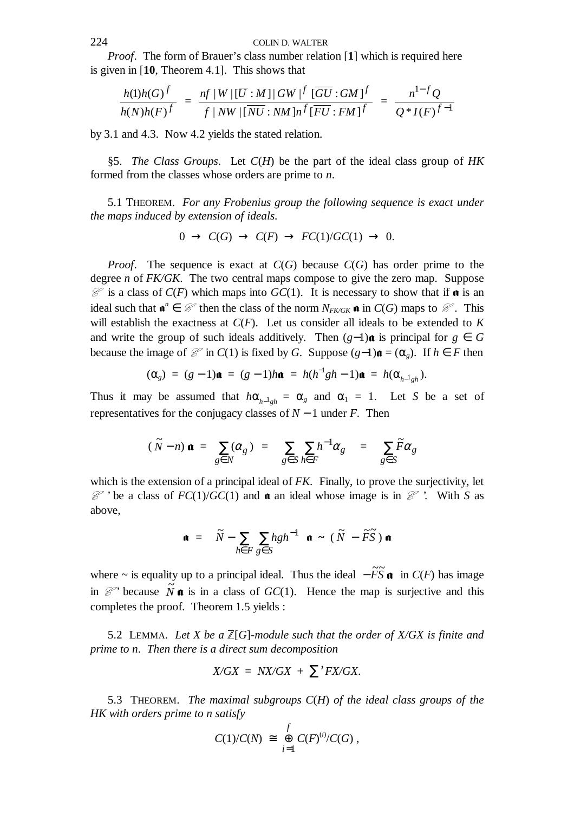## 224 COLIN D. WALTER

*Proof.* The form of Brauer's class number relation [1] which is required here is given in [**10**, Theorem 4.1]. This shows that

$$
\frac{h(1)h(G)^f}{h(N)h(F)^f} = \frac{nf|W|[\overline{U}:M]|GW| \overline{f}[\overline{GU}:GM]^f}{f|NW|[\overline{NU}:NM]n^f[\overline{FU}:FM]^f} = \frac{n^{1-f}Q}{Q^*I(F)^{f-1}}
$$

by 3.1 and 4.3. Now 4.2 yields the stated relation.

§5. *The Class Groups*. Let *C*(*H*) be the part of the ideal class group of *HK* formed from the classes whose orders are prime to *n*.

5.1 THEOREM. *For any Frobenius group the following sequence is exact under the maps induced by extension of ideals*.

$$
0 \to C(G) \to C(F) \to FC(1)/GC(1) \to 0.
$$

*Proof.* The sequence is exact at *C*(*G*) because *C*(*G*) has order prime to the degree *n* of *FK/GK*.The two central maps compose to give the zero map. Suppose  $\mathcal C$  is a class of  $C(F)$  which maps into  $GC(1)$ . It is necessary to show that if  $\mathfrak a$  is an ideal such that  $\mathbf{a}^n \in \mathcal{C}$  then the class of the norm  $N_{FKGK}} \mathbf{a}$  in  $C(G)$  maps to  $\mathcal{C}$ . This will establish the exactness at *C*(*F*). Let us consider all ideals to be extended to *K* and write the group of such ideals additively. Then  $(g-1)\mathbf{a}$  is principal for  $g \in G$ because the image of  $\mathcal{C}$  in *C*(1) is fixed by *G*. Suppose  $(g-1)\mathfrak{a} = (\alpha_g)$ . If  $h \in F$  then

$$
(\alpha_g) = (g-1)\mathbf{a} = (g-1)h\mathbf{a} = h(h^{-1}gh-1)\mathbf{a} = h(\alpha_{h^{-1}gh}).
$$

Thus it may be assumed that  $h\alpha_{h-1}$ <sub>*gh*</sub> =  $\alpha_g$  and  $\alpha_1$  = 1. Let *S* be a set of representatives for the conjugacy classes of *N* − 1 under *F*.Then

$$
(\widetilde{N}-n)\mathbf{a} = \sum_{g\in N} (\alpha_g) = \left(\sum_{g\in S} \sum_{h\in F} h^{-1} \alpha_g\right) = \left(\sum_{g\in S} \widetilde{F} \alpha_g\right)
$$

which is the extension of a principal ideal of *FK*. Finally, to prove the surjectivity, let  $\mathcal{C}$  ' be a class of  $FC(1)/GC(1)$  and  $\boldsymbol{\alpha}$  an ideal whose image is in  $\mathcal{C}$ '. With *S* as above,

$$
\mathbf{a} = \left( \widetilde{N} - \sum_{h \in F} \sum_{g \in S} hgh^{-1} \right) \mathbf{a} \sim (\widetilde{N} - \widetilde{F}\widetilde{S}) \mathbf{a}
$$

where ~ is equality up to a principal ideal. Thus the ideal  $-\widetilde{F}\widetilde{S}$  **a** in *C*(*F*) has image in  $\mathcal{C}'$  because  $\tilde{N}$  **a** is in a class of *GC*(1). Hence the map is surjective and this completes the proof. Theorem 1.5 yields :

5.2 LEMMA. Let X be a  $\mathbb{Z}[G]$ -module such that the order of X/GX is finite and *prime to n*. *Then there is a direct sum decomposition* 

$$
X/GX = NX/GX + \sum' FX/GX.
$$

5.3 THEOREM. *The maximal subgroups C*(*H*) *of the ideal class groups of the HK with orders prime to n satisfy*

$$
C(1)/C(N) \cong \bigoplus_{i=1}^f C(F)^{(i)}/C(G),
$$